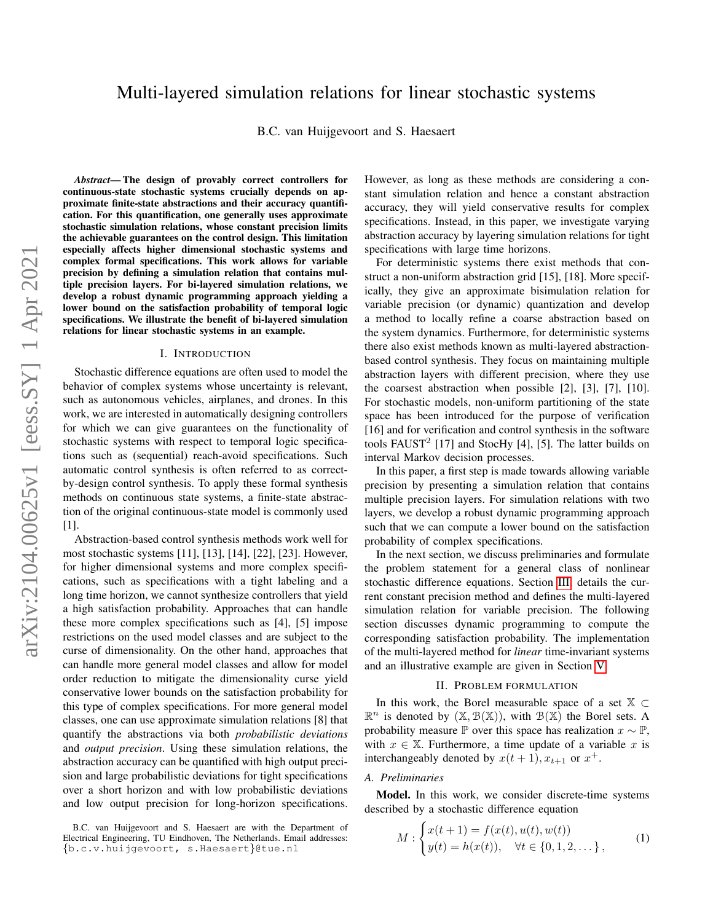# Multi-layered simulation relations for linear stochastic systems

B.C. van Huijgevoort and S. Haesaert

*Abstract*— The design of provably correct controllers for continuous-state stochastic systems crucially depends on approximate finite-state abstractions and their accuracy quantification. For this quantification, one generally uses approximate stochastic simulation relations, whose constant precision limits the achievable guarantees on the control design. This limitation especially affects higher dimensional stochastic systems and complex formal specifications. This work allows for variable precision by defining a simulation relation that contains multiple precision layers. For bi-layered simulation relations, we develop a robust dynamic programming approach yielding a lower bound on the satisfaction probability of temporal logic specifications. We illustrate the benefit of bi-layered simulation relations for linear stochastic systems in an example.

## I. INTRODUCTION

Stochastic difference equations are often used to model the behavior of complex systems whose uncertainty is relevant, such as autonomous vehicles, airplanes, and drones. In this work, we are interested in automatically designing controllers for which we can give guarantees on the functionality of stochastic systems with respect to temporal logic specifications such as (sequential) reach-avoid specifications. Such automatic control synthesis is often referred to as correctby-design control synthesis. To apply these formal synthesis methods on continuous state systems, a finite-state abstraction of the original continuous-state model is commonly used [1].

Abstraction-based control synthesis methods work well for most stochastic systems [11], [13], [14], [22], [23]. However, for higher dimensional systems and more complex specifications, such as specifications with a tight labeling and a long time horizon, we cannot synthesize controllers that yield a high satisfaction probability. Approaches that can handle these more complex specifications such as [4], [5] impose restrictions on the used model classes and are subject to the curse of dimensionality. On the other hand, approaches that can handle more general model classes and allow for model order reduction to mitigate the dimensionality curse yield conservative lower bounds on the satisfaction probability for this type of complex specifications. For more general model classes, one can use approximate simulation relations [8] that quantify the abstractions via both *probabilistic deviations* and *output precision*. Using these simulation relations, the abstraction accuracy can be quantified with high output precision and large probabilistic deviations for tight specifications over a short horizon and with low probabilistic deviations and low output precision for long-horizon specifications. However, as long as these methods are considering a constant simulation relation and hence a constant abstraction accuracy, they will yield conservative results for complex specifications. Instead, in this paper, we investigate varying abstraction accuracy by layering simulation relations for tight specifications with large time horizons.

For deterministic systems there exist methods that construct a non-uniform abstraction grid [15], [18]. More specifically, they give an approximate bisimulation relation for variable precision (or dynamic) quantization and develop a method to locally refine a coarse abstraction based on the system dynamics. Furthermore, for deterministic systems there also exist methods known as multi-layered abstractionbased control synthesis. They focus on maintaining multiple abstraction layers with different precision, where they use the coarsest abstraction when possible [2], [3], [7], [10]. For stochastic models, non-uniform partitioning of the state space has been introduced for the purpose of verification [16] and for verification and control synthesis in the software tools  $FAUST^2$  [17] and StocHy [4], [5]. The latter builds on interval Markov decision processes.

In this paper, a first step is made towards allowing variable precision by presenting a simulation relation that contains multiple precision layers. For simulation relations with two layers, we develop a robust dynamic programming approach such that we can compute a lower bound on the satisfaction probability of complex specifications.

In the next section, we discuss preliminaries and formulate the problem statement for a general class of nonlinear stochastic difference equations. Section [III,](#page-1-0) details the current constant precision method and defines the multi-layered simulation relation for variable precision. The following section discusses dynamic programming to compute the corresponding satisfaction probability. The implementation of the multi-layered method for *linear* time-invariant systems and an illustrative example are given in Section [V.](#page-4-0)

## II. PROBLEM FORMULATION

In this work, the Borel measurable space of a set  $X \subset$  $\mathbb{R}^n$  is denoted by  $(\mathbb{X}, \mathcal{B}(\mathbb{X}))$ , with  $\mathcal{B}(\mathbb{X})$  the Borel sets. A probability measure P over this space has realization  $x \sim \mathbb{P}$ , with  $x \in \mathbb{X}$ . Furthermore, a time update of a variable x is interchangeably denoted by  $x(t + 1)$ ,  $x_{t+1}$  or  $x^+$ .

# *A. Preliminaries*

Model. In this work, we consider discrete-time systems described by a stochastic difference equation

<span id="page-0-0"></span>
$$
M: \begin{cases} x(t+1) = f(x(t), u(t), w(t)) \\ y(t) = h(x(t)), \quad \forall t \in \{0, 1, 2, \dots\}, \end{cases}
$$
 (1)

B.C. van Huijgevoort and S. Haesaert are with the Department of Electrical Engineering, TU Eindhoven, The Netherlands. Email addresses: {b.c.v.huijgevoort, s.Haesaert}@tue.nl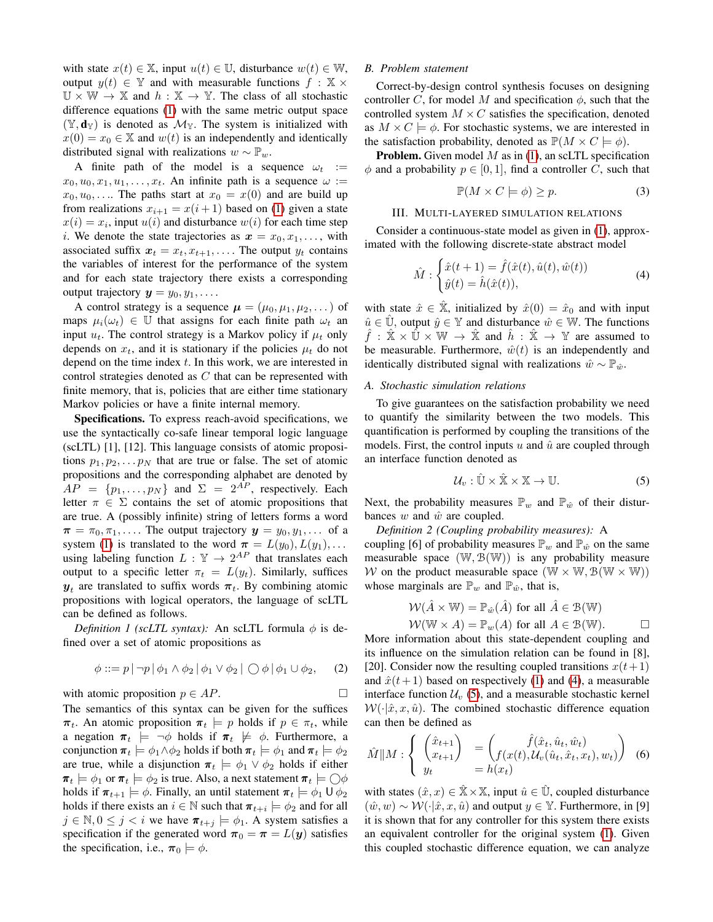with state  $x(t) \in \mathbb{X}$ , input  $u(t) \in \mathbb{U}$ , disturbance  $w(t) \in \mathbb{W}$ , output  $y(t) \in \mathbb{Y}$  and with measurable functions  $f : \mathbb{X} \times$  $\mathbb{U} \times \mathbb{W} \to \mathbb{X}$  and  $h : \mathbb{X} \to \mathbb{Y}$ . The class of all stochastic difference equations [\(1\)](#page-0-0) with the same metric output space  $(\mathbb{Y}, \mathbf{d}_{\mathbb{Y}})$  is denoted as  $\mathcal{M}_{\mathbb{Y}}$ . The system is initialized with  $x(0) = x_0 \in \mathbb{X}$  and  $w(t)$  is an independently and identically distributed signal with realizations  $w \sim \mathbb{P}_w$ .

A finite path of the model is a sequence  $\omega_t$  :=  $x_0, u_0, x_1, u_1, \ldots, x_t$ . An infinite path is a sequence  $\omega$  :=  $x_0, u_0, \ldots$  The paths start at  $x_0 = x(0)$  and are build up from realizations  $x_{i+1} = x(i+1)$  based on [\(1\)](#page-0-0) given a state  $x(i) = x_i$ , input  $u(i)$  and disturbance  $w(i)$  for each time step *i*. We denote the state trajectories as  $x = x_0, x_1, \ldots$ , with associated suffix  $x_t = x_t, x_{t+1}, \ldots$ . The output  $y_t$  contains the variables of interest for the performance of the system and for each state trajectory there exists a corresponding output trajectory  $y = y_0, y_1, \ldots$ 

A control strategy is a sequence  $\mu = (\mu_0, \mu_1, \mu_2, \dots)$  of maps  $\mu_i(\omega_t) \in \mathbb{U}$  that assigns for each finite path  $\omega_t$  and input  $u_t$ . The control strategy is a Markov policy if  $\mu_t$  only depends on  $x_t$ , and it is stationary if the policies  $\mu_t$  do not depend on the time index  $t$ . In this work, we are interested in control strategies denoted as C that can be represented with finite memory, that is, policies that are either time stationary Markov policies or have a finite internal memory.

Specifications. To express reach-avoid specifications, we use the syntactically co-safe linear temporal logic language (scLTL) [1], [12]. This language consists of atomic propositions  $p_1, p_2, \ldots p_N$  that are true or false. The set of atomic propositions and the corresponding alphabet are denoted by  $AP = \{p_1, \ldots, p_N\}$  and  $\Sigma = 2^{\overline{AP}}$ , respectively. Each letter  $\pi \in \Sigma$  contains the set of atomic propositions that are true. A (possibly infinite) string of letters forms a word  $\pi = \pi_0, \pi_1, \ldots$  The output trajectory  $y = y_0, y_1, \ldots$  of a system [\(1\)](#page-0-0) is translated to the word  $\boldsymbol{\pi} = L(y_0), L(y_1), \dots$ using labeling function  $L : \mathbb{Y} \to 2^{AP}$  that translates each output to a specific letter  $\pi_t = L(y_t)$ . Similarly, suffices  $y_t$  are translated to suffix words  $\pi_t$ . By combining atomic propositions with logical operators, the language of scLTL can be defined as follows.

*Definition 1 (scLTL syntax):* An scLTL formula  $\phi$  is defined over a set of atomic propositions as

<span id="page-1-4"></span>
$$
\phi ::= p | \neg p | \phi_1 \land \phi_2 | \phi_1 \lor \phi_2 | \bigcirc \phi | \phi_1 \cup \phi_2, \quad (2)
$$

with atomic proposition  $p \in AP$ .

The semantics of this syntax can be given for the suffices  $\pi_t$ . An atomic proposition  $\pi_t$   $\models$  p holds if  $p \in \pi_t$ , while a negation  $\pi_t$   $\models \neg \phi$  holds if  $\pi_t \not\models \phi$ . Furthermore, a conjunction  $\pi_t \models \phi_1 \land \phi_2$  holds if both  $\pi_t \models \phi_1$  and  $\pi_t \models \phi_2$ are true, while a disjunction  $\pi_t \models \phi_1 \lor \phi_2$  holds if either  $\pi_t \models \phi_1$  or  $\pi_t \models \phi_2$  is true. Also, a next statement  $\pi_t \models \bigcirc \phi$ holds if  $\pi_{t+1} \models \phi$ . Finally, an until statement  $\pi_t \models \phi_1 \cup \phi_2$ holds if there exists an  $i \in \mathbb{N}$  such that  $\pi_{t+i} \models \phi_2$  and for all  $j \in \mathbb{N}, 0 \leq j < i$  we have  $\pi_{t+j} \models \phi_1$ . A system satisfies a specification if the generated word  $\pi_0 = \pi = L(y)$  satisfies the specification, i.e.,  $\pi_0 \models \phi$ .

## *B. Problem statement*

Correct-by-design control synthesis focuses on designing controller C, for model M and specification  $\phi$ , such that the controlled system  $M \times C$  satisfies the specification, denoted as  $M \times C \models \phi$ . For stochastic systems, we are interested in the satisfaction probability, denoted as  $\mathbb{P}(M \times C \models \phi)$ .

**Problem.** Given model  $M$  as in [\(1\)](#page-0-0), an scLTL specification  $\phi$  and a probability  $p \in [0, 1]$ , find a controller C, such that

<span id="page-1-5"></span>
$$
\mathbb{P}(M \times C \models \phi) \ge p. \tag{3}
$$

### III. MULTI-LAYERED SIMULATION RELATIONS

<span id="page-1-0"></span>Consider a continuous-state model as given in [\(1\)](#page-0-0), approximated with the following discrete-state abstract model

<span id="page-1-1"></span>
$$
\hat{M} : \begin{cases} \hat{x}(t+1) = \hat{f}(\hat{x}(t), \hat{u}(t), \hat{w}(t)) \\ \hat{y}(t) = \hat{h}(\hat{x}(t)), \end{cases}
$$
\n(4)

with state  $\hat{x} \in \mathbb{\hat{X}}$ , initialized by  $\hat{x}(0) = \hat{x}_0$  and with input  $\hat{u} \in \mathbb{U}$ , output  $\hat{y} \in \mathbb{Y}$  and disturbance  $\hat{w} \in \mathbb{W}$ . The functions  $\hat{f}: \mathbb{X} \times \mathbb{U} \times \mathbb{W} \to \mathbb{\hat{X}}$  and  $\hat{h}: \mathbb{\hat{X}} \to \mathbb{Y}$  are assumed to be measurable. Furthermore,  $\hat{w}(t)$  is an independently and identically distributed signal with realizations  $\hat{w} \sim \mathbb{P}_{\hat{w}}$ .

## *A. Stochastic simulation relations*

To give guarantees on the satisfaction probability we need to quantify the similarity between the two models. This quantification is performed by coupling the transitions of the models. First, the control inputs u and  $\hat{u}$  are coupled through an interface function denoted as

<span id="page-1-2"></span>
$$
\mathcal{U}_v: \hat{\mathbb{U}} \times \hat{\mathbb{X}} \times \mathbb{X} \to \mathbb{U}.
$$
 (5)

Next, the probability measures  $\mathbb{P}_w$  and  $\mathbb{P}_{\hat{w}}$  of their disturbances  $w$  and  $\hat{w}$  are coupled.

*Definition 2 (Coupling probability measures):* A

coupling [6] of probability measures  $\mathbb{P}_w$  and  $\mathbb{P}_{\hat{w}}$  on the same measurable space  $(W, \mathcal{B}(W))$  is any probability measure W on the product measurable space  $(W \times W, \mathcal{B}(W \times W))$ whose marginals are  $\mathbb{P}_w$  and  $\mathbb{P}_{\hat{w}}$ , that is,

$$
\mathcal{W}(\hat{A} \times \mathbb{W}) = \mathbb{P}_{\hat{w}}(\hat{A}) \text{ for all } \hat{A} \in \mathcal{B}(\mathbb{W})
$$
  

$$
\mathcal{W}(\mathbb{W} \times A) = \mathbb{P}_{w}(A) \text{ for all } A \in \mathcal{B}(\mathbb{W}).
$$

More information about this state-dependent coupling and its influence on the simulation relation can be found in [8], [20]. Consider now the resulting coupled transitions  $x(t+1)$ and  $\hat{x}(t+1)$  based on respectively [\(1\)](#page-0-0) and [\(4\)](#page-1-1), a measurable interface function  $\mathcal{U}_v$  [\(5\)](#page-1-2), and a measurable stochastic kernel  $W(\cdot|\hat{x}, x, \hat{u})$ . The combined stochastic difference equation can then be defined as

<span id="page-1-3"></span>
$$
\hat{M}||M: \begin{cases}\n\begin{pmatrix}\n\hat{x}_{t+1} \\
x_{t+1}\n\end{pmatrix} &= \begin{pmatrix}\n\hat{f}(\hat{x}_t, \hat{u}_t, \hat{w}_t) \\
f(x(t), \mathcal{U}_v(\hat{u}_t, \hat{x}_t, x_t), w_t)\n\end{pmatrix} \\
\begin{pmatrix}\ny_t\n\end{pmatrix} &= h(x_t)\n\end{cases}
$$

with states  $(\hat{x}, x) \in \mathbb{\hat{X}} \times \mathbb{X}$ , input  $\hat{u} \in \mathbb{U}$ , coupled disturbance  $(\hat{w}, w) \sim \mathcal{W}(\cdot | \hat{x}, x, \hat{u})$  and output  $y \in \mathbb{Y}$ . Furthermore, in [9] it is shown that for any controller for this system there exists an equivalent controller for the original system [\(1\)](#page-0-0). Given this coupled stochastic difference equation, we can analyze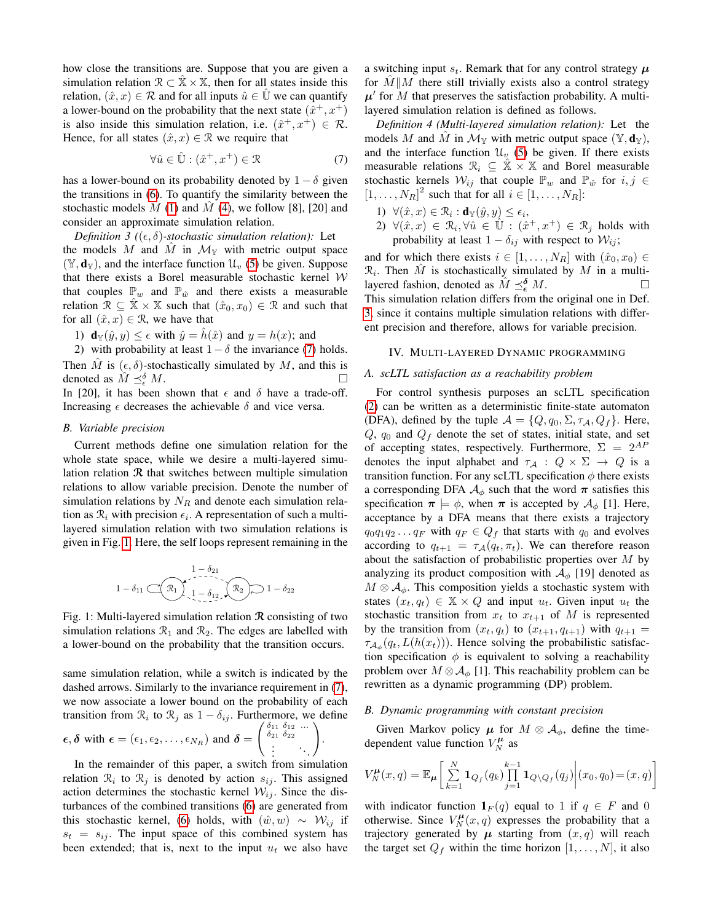how close the transitions are. Suppose that you are given a simulation relation  $\mathcal{R} \subset \mathbb{X} \times \mathbb{X}$ , then for all states inside this relation,  $(\hat{x}, x) \in \mathcal{R}$  and for all inputs  $\hat{u} \in \mathbb{U}$  we can quantify a lower-bound on the probability that the next state  $(\hat{x}^+, x^+)$ is also inside this simulation relation, i.e.  $(\hat{x}^+, x^+) \in \mathcal{R}$ . Hence, for all states  $(\hat{x}, x) \in \mathcal{R}$  we require that

<span id="page-2-0"></span>
$$
\forall \hat{u} \in \mathbb{\hat{U}} : (\hat{x}^+, x^+) \in \mathcal{R} \tag{7}
$$

has a lower-bound on its probability denoted by  $1 - \delta$  given the transitions in [\(6\)](#page-1-3). To quantify the similarity between the stochastic models  $M(1)$  $M(1)$  and  $M(4)$  $M(4)$ , we follow [8], [20] and consider an approximate simulation relation.

*Definition 3* ( $(\epsilon, \delta)$ -stochastic simulation relation): Let the models M and M in  $\mathcal{M}_{\mathbb{Y}}$  with metric output space  $(\mathbb{Y}, \mathbf{d}_{\mathbb{Y}})$ , and the interface function  $\mathcal{U}_v$  [\(5\)](#page-1-2) be given. Suppose that there exists a Borel measurable stochastic kernel  $W$ that couples  $\mathbb{P}_w$  and  $\mathbb{P}_{\hat{w}}$  and there exists a measurable relation  $\mathcal{R} \subseteq \mathbb{X} \times \mathbb{X}$  such that  $(\hat{x}_0, x_0) \in \mathcal{R}$  and such that for all  $(\hat{x}, x) \in \mathcal{R}$ , we have that

1)  $\mathbf{d}_{\mathbb{Y}}(\hat{y}, y) \leq \epsilon$  with  $\hat{y} = \hat{h}(\hat{x})$  and  $y = h(x)$ ; and

2) with probability at least  $1-\delta$  the invariance [\(7\)](#page-2-0) holds. Then M is  $(\epsilon, \delta)$ -stochastically simulated by M, and this is denoted as  $\hat{M} \preceq_{\epsilon}^{\delta} M$ .  $\frac{\delta}{\epsilon} M$ . In [20], it has been shown that  $\epsilon$  and  $\delta$  have a trade-off. Increasing  $\epsilon$  decreases the achievable  $\delta$  and vice versa.

## *B. Variable precision*

Current methods define one simulation relation for the whole state space, while we desire a multi-layered simulation relation  $R$  that switches between multiple simulation relations to allow variable precision. Denote the number of simulation relations by  $N_R$  and denote each simulation relation as  $\mathcal{R}_i$  with precision  $\epsilon_i$ . A representation of such a multilayered simulation relation with two simulation relations is given in Fig. [1.](#page-2-1) Here, the self loops represent remaining in the

<span id="page-2-1"></span>
$$
1-\delta_{11} \underbrace{\bigodot \left(\mathcal{R}_1\right)}_{1-\delta_{12}} \underbrace{\left(\mathcal{R}_2\right)}_{1-\delta_{12}} \underbrace{\left(\mathcal{R}_2\right)}_{1-\delta_{22}}
$$

Fig. 1: Multi-layered simulation relation  $\Re$  consisting of two simulation relations  $\mathcal{R}_1$  and  $\mathcal{R}_2$ . The edges are labelled with a lower-bound on the probability that the transition occurs.

same simulation relation, while a switch is indicated by the dashed arrows. Similarly to the invariance requirement in [\(7\)](#page-2-0), we now associate a lower bound on the probability of each transition from  $\mathcal{R}_i$  to  $\mathcal{R}_j$  as  $1 - \delta_{ij}$ . Furthermore, we define  $\epsilon, \delta$  with  $\epsilon = (\epsilon_1, \epsilon_2, \dots, \epsilon_{N_R})$  and  $\delta =$  $\begin{pmatrix} \delta_{11} & \delta_{12} & \dots \\ \delta_{21} & \delta_{22} & \\ \vdots & \vdots & \ddots \end{pmatrix}$  $\setminus$ .

In the remainder of this paper, a switch from simulation relation  $\mathcal{R}_i$  to  $\mathcal{R}_j$  is denoted by action  $s_{ij}$ . This assigned action determines the stochastic kernel  $W_{ij}$ . Since the disturbances of the combined transitions [\(6\)](#page-1-3) are generated from this stochastic kernel, [\(6\)](#page-1-3) holds, with  $(\hat{w}, w) \sim \mathcal{W}_{ij}$  if  $s_t = s_{ij}$ . The input space of this combined system has been extended; that is, next to the input  $u_t$  we also have a switching input  $s_t$ . Remark that for any control strategy  $\mu$ for  $\hat{M}$  M there still trivially exists also a control strategy  $\mu'$  for M that preserves the satisfaction probability. A multilayered simulation relation is defined as follows.

<span id="page-2-3"></span>*Definition 4 (Multi-layered simulation relation):* Let the models M and M in  $\mathcal{M}_{\mathbb{Y}}$  with metric output space  $(\mathbb{Y}, \mathbf{d}_{\mathbb{Y}})$ , and the interface function  $\mathcal{U}_{v}$  [\(5\)](#page-1-2) be given. If there exists measurable relations  $\mathcal{R}_i \subseteq \hat{\mathbb{X}} \times \mathbb{X}$  and Borel measurable stochastic kernels  $W_{ij}$  that couple  $\mathbb{P}_w$  and  $\mathbb{P}_{\hat{w}}$  for  $i, j \in$  $[1, \ldots, N_R]^2$  such that for all  $i \in [1, \ldots, N_R]$ :

- 1)  $\forall (\hat{x}, x) \in \mathcal{R}_i : \mathbf{d}_{\mathbb{Y}}(\hat{y}, y) \le \epsilon_i,$
- 2)  $\forall (\hat{x},x) \in \mathcal{R}_i, \forall \hat{u} \in \mathbb{U} : (\hat{x}^+, x^+) \in \mathcal{R}_j$  holds with probability at least  $1 - \delta_{ij}$  with respect to  $\mathcal{W}_{ij}$ ;

<span id="page-2-2"></span>and for which there exists  $i \in [1, \ldots, N_R]$  with  $(\hat{x}_0, x_0) \in$  $\mathcal{R}_i$ . Then  $\hat{M}$  is stochastically simulated by M in a multilayered fashion, denoted as  $\hat{M} \preceq_{\epsilon}^{ \delta} M$ . This simulation relation differs from the original one in Def. [3,](#page-2-2) since it contains multiple simulation relations with different precision and therefore, allows for variable precision.

### IV. MULTI-LAYERED DYNAMIC PROGRAMMING

#### *A. scLTL satisfaction as a reachability problem*

For control synthesis purposes an scLTL specification [\(2\)](#page-1-4) can be written as a deterministic finite-state automaton (DFA), defined by the tuple  $\mathcal{A} = \{Q, q_0, \Sigma, \tau_A, Q_f\}$ . Here,  $Q$ ,  $q_0$  and  $Q_f$  denote the set of states, initial state, and set of accepting states, respectively. Furthermore,  $\Sigma = 2^{AP}$ denotes the input alphabet and  $\tau_A$  :  $Q \times \Sigma \rightarrow Q$  is a transition function. For any scLTL specification  $\phi$  there exists a corresponding DFA  $A_{\phi}$  such that the word  $\pi$  satisfies this specification  $\pi \models \phi$ , when  $\pi$  is accepted by  $\mathcal{A}_{\phi}$  [1]. Here, acceptance by a DFA means that there exists a trajectory  $q_0q_1q_2 \ldots q_F$  with  $q_F \in Q_f$  that starts with  $q_0$  and evolves according to  $q_{t+1} = \tau_{\mathcal{A}}(q_t, \pi_t)$ . We can therefore reason about the satisfaction of probabilistic properties over  $M$  by analyzing its product composition with  $A_{\phi}$  [19] denoted as  $M \otimes A_{\phi}$ . This composition yields a stochastic system with states  $(x_t, q_t) \in \mathbb{X} \times Q$  and input  $u_t$ . Given input  $u_t$  the stochastic transition from  $x_t$  to  $x_{t+1}$  of M is represented by the transition from  $(x_t, q_t)$  to  $(x_{t+1}, q_{t+1})$  with  $q_{t+1} =$  $\tau_{A_{\phi}}(q_t, L(h(x_t)))$ . Hence solving the probabilistic satisfaction specification  $\phi$  is equivalent to solving a reachability problem over  $M \otimes A_{\phi}$  [1]. This reachability problem can be rewritten as a dynamic programming (DP) problem.

## *B. Dynamic programming with constant precision*

Given Markov policy  $\mu$  for  $M \otimes A_{\phi}$ , define the timedependent value function  $V_N^{\mu}$  as

$$
V_N^{\mu}(x,q) = \mathbb{E}_{\mu} \left[ \sum_{k=1}^N \mathbf{1}_{Q_f}(q_k) \prod_{j=1}^{k-1} \mathbf{1}_{Q \setminus Q_f}(q_j) \middle| (x_0, q_0) = (x, q) \right]
$$

with indicator function  $\mathbf{1}_F(q)$  equal to 1 if  $q \in F$  and 0 otherwise. Since  $V_N^{\mu}(x,q)$  expresses the probability that a trajectory generated by  $\mu$  starting from  $(x, q)$  will reach the target set  $Q_f$  within the time horizon  $[1, \ldots, N]$ , it also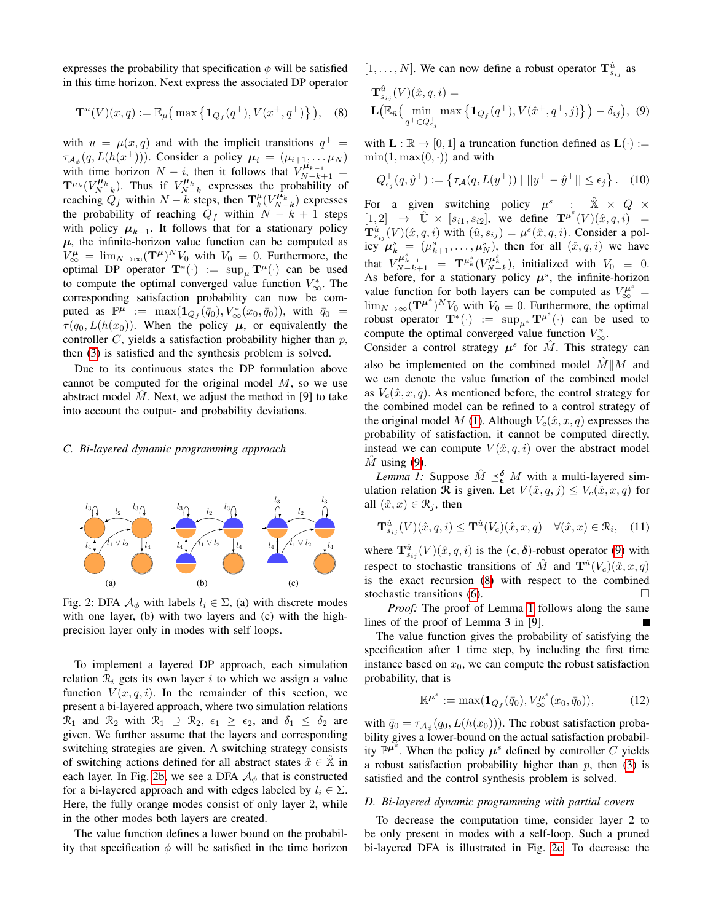expresses the probability that specification  $\phi$  will be satisfied in this time horizon. Next express the associated DP operator

<span id="page-3-2"></span>
$$
\mathbf{T}^{u}(V)(x,q) := \mathbb{E}_{\mu}\left(\max\left\{\mathbf{1}_{Q_{f}}(q^{+}), V(x^{+}, q^{+})\right\}\right), \quad (8)
$$

with  $u = \mu(x, q)$  and with the implicit transitions  $q^+ =$  $\tau_{\mathcal{A}_{\phi}}(q, L(h(x^+)))$ . Consider a policy  $\mu_i = (\mu_{i+1}, \dots \mu_N)$ with time horizon  $N - i$ , then it follows that  $V_{N-k+1}^{\mu_{k-1}} =$  $\mathbf{T}^{\mu_k}(V^{\mu_k}_{N-k})$ . Thus if  $V^{\mu_k}_{N-k}$  expresses the probability of reaching  $\hat{Q}_f$  within  $N - k$  steps, then  $\mathbf{T}_k^{\mu}(V_{N-k}^{\mu})$  expresses the probability of reaching  $Q_f$  within  $N - k + 1$  steps with policy  $\mu_{k-1}$ . It follows that for a stationary policy  $\mu$ , the infinite-horizon value function can be computed as  $V^{\mu}_{\infty} = \lim_{N \to \infty} (\mathbf{T}^{\mu})^N V_0$  with  $V_0 \equiv 0$ . Furthermore, the optimal DP operator  $\mathbf{T}^*(\cdot) := \sup_{\mu} \mathbf{T}^{\mu}(\cdot)$  can be used to compute the optimal converged value function  $V^*_{\infty}$ . The corresponding satisfaction probability can now be computed as  $\mathbb{P}^{\mu}$  :=  $\max(\mathbf{1}_{Q_f}(\bar{q}_0), V^*_{\infty}(x_0, \bar{q}_0)),$  with  $\bar{q}_0$  =  $\tau(q_0, L(h(x_0))$ . When the policy  $\mu$ , or equivalently the controller  $C$ , yields a satisfaction probability higher than  $p$ , then [\(3\)](#page-1-5) is satisfied and the synthesis problem is solved.

Due to its continuous states the DP formulation above cannot be computed for the original model  $M$ , so we use abstract model  $\tilde{M}$ . Next, we adjust the method in [9] to take into account the output- and probability deviations.

## *C. Bi-layered dynamic programming approach*



<span id="page-3-0"></span>Fig. 2: DFA  $A_{\phi}$  with labels  $l_i \in \Sigma$ , (a) with discrete modes with one layer, (b) with two layers and (c) with the highprecision layer only in modes with self loops.

To implement a layered DP approach, each simulation relation  $\mathcal{R}_i$  gets its own layer i to which we assign a value function  $V(x, q, i)$ . In the remainder of this section, we present a bi-layered approach, where two simulation relations  $\mathcal{R}_1$  and  $\mathcal{R}_2$  with  $\mathcal{R}_1 \supseteq \mathcal{R}_2$ ,  $\epsilon_1 \geq \epsilon_2$ , and  $\delta_1 \leq \delta_2$  are given. We further assume that the layers and corresponding switching strategies are given. A switching strategy consists of switching actions defined for all abstract states  $\hat{x} \in \mathbb{X}$  in each layer. In Fig. [2b,](#page-3-0) we see a DFA  $A_{\phi}$  that is constructed for a bi-layered approach and with edges labeled by  $l_i \in \Sigma$ . Here, the fully orange modes consist of only layer 2, while in the other modes both layers are created.

The value function defines a lower bound on the probability that specification  $\phi$  will be satisfied in the time horizon  $[1, \ldots, N]$ . We can now define a robust operator  $\mathbf{T}_{s_{ij}}^{\hat{u}}$  as

<span id="page-3-1"></span>
$$
\mathbf{T}_{s_{ij}}^{\hat{u}}(V)(\hat{x}, q, i) = \mathbf{L}(\mathbb{E}_{\hat{u}}(\min_{q^+ \in Q_{\epsilon_j}^+} \max\left\{ \mathbf{1}_{Q_f}(q^+), V(\hat{x}^+, q^+, j) \right\}) - \delta_{ij}), (9)
$$

with  $\mathbf{L} : \mathbb{R} \to [0, 1]$  a truncation function defined as  $\mathbf{L}(\cdot) :=$  $\min(1, \max(0, \cdot))$  and with

<span id="page-3-5"></span>
$$
Q_{\epsilon_j}^+(q, \hat{y}^+) := \left\{ \tau_{\mathcal{A}}(q, L(y^+)) \mid ||y^+ - \hat{y}^+|| \le \epsilon_j \right\}. \tag{10}
$$

For a given switching policy  $\mu^s$  :  $\hat{X} \times Q \times$  $[1,2] \rightarrow \hat{U} \times [s_{i1}, s_{i2}],$  we define  $\mathbf{T}^{\mu^s}(V)(\hat{x}, q, i)$  =  $\mathbf{T}^{\hat{u}}_{s_{ij}}(V)(\hat{x}, q, i)$  with  $(\hat{u}, s_{ij}) = \mu^{s}(\hat{x}, q, i)$ . Consider a policy  $\mu_k^s = (\mu_{k+1}^s, \dots, \mu_N^s)$ , then for all  $(\hat{x}, q, i)$  we have that  $V_{N-k+1}^{\mu_{k-1}^s} = \mathbf{T}^{\mu_k^s}(V_{N-k}^{\mu_k^s})$ , initialized with  $V_0 \equiv 0$ . As before, for a stationary policy  $\mu^s$ , the infinite-horizon value function for both layers can be computed as  $V^{\mu^s}_{\infty}$  =  $\lim_{N\to\infty} (\mathbf{T}^{\mu^s})^N V_0$  with  $V_0 \equiv 0$ . Furthermore, the optimal robust operator  $\mathbf{T}^*(\cdot) := \sup_{\mu^s} \mathbf{T}^{\mu^s}(\cdot)$  can be used to compute the optimal converged value function  $V_{\infty}^*$ .

Consider a control strategy  $\mu^s$  for  $\hat{M}$ . This strategy can also be implemented on the combined model  $\hat{M} \parallel M$  and we can denote the value function of the combined model as  $V_c(\hat{x}, x, q)$ . As mentioned before, the control strategy for the combined model can be refined to a control strategy of the original model M [\(1\)](#page-0-0). Although  $V_c(\hat{x}, x, q)$  expresses the probability of satisfaction, it cannot be computed directly, instead we can compute  $V(\hat{x}, q, i)$  over the abstract model M using  $(9)$ .

<span id="page-3-3"></span>*Lemma 1:* Suppose  $\hat{M} \preceq_{\epsilon}^{b} M$  with a multi-layered simulation relation  $\Re$  is given. Let  $V(\hat{x}, q, j) \leq V_c(\hat{x}, x, q)$  for all  $(\hat{x}, x) \in \mathcal{R}_i$ , then

$$
\mathbf{T}_{s_{ij}}^{\hat{u}}(V)(\hat{x}, q, i) \le \mathbf{T}^{\hat{u}}(V_c)(\hat{x}, x, q) \quad \forall (\hat{x}, x) \in \mathcal{R}_i, \quad (11)
$$

<span id="page-3-4"></span>where  $\mathbf{T}_{s_{ij}}^{\hat{u}}(V)(\hat{x}, q, i)$  is the  $(\epsilon, \delta)$ -robust operator [\(9\)](#page-3-1) with respect to stochastic transitions of  $\hat{M}$  and  $\mathbf{T}^{\hat{u}}(V_c)(\hat{x}, x, q)$ is the exact recursion [\(8\)](#page-3-2) with respect to the combined stochastic transitions [\(6\)](#page-1-3).

*Proof:* The proof of Lemma [1](#page-3-3) follows along the same lines of the proof of Lemma 3 in [9].

The value function gives the probability of satisfying the specification after 1 time step, by including the first time instance based on  $x_0$ , we can compute the robust satisfaction probability, that is

$$
\mathbb{R}^{\boldsymbol{\mu}^s} := \max(\mathbf{1}_{Q_f}(\bar{q}_0), V^{\boldsymbol{\mu}^s}_{\infty}(x_0, \bar{q}_0)),\tag{12}
$$

with  $\bar{q}_0 = \tau_{A_{\phi}}(q_0, L(h(x_0)))$ . The robust satisfaction probability gives a lower-bound on the actual satisfaction probability  $\mathbb{P}^{\mu^s}$ . When the policy  $\mu^s$  defined by controller C yields a robust satisfaction probability higher than  $p$ , then [\(3\)](#page-1-5) is satisfied and the control synthesis problem is solved.

## *D. Bi-layered dynamic programming with partial covers*

To decrease the computation time, consider layer 2 to be only present in modes with a self-loop. Such a pruned bi-layered DFA is illustrated in Fig. [2c.](#page-3-4) To decrease the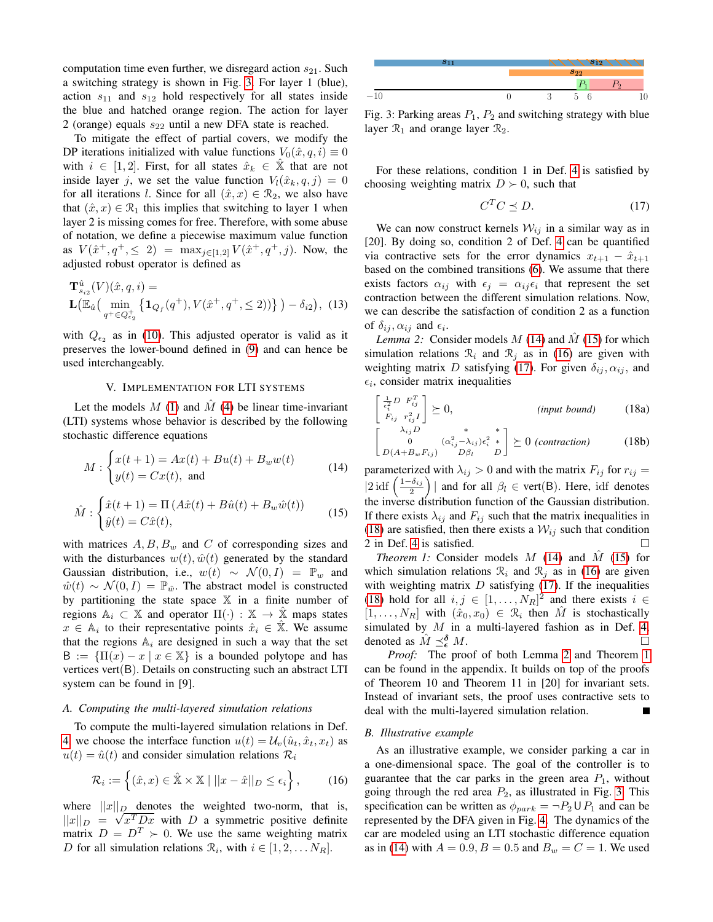computation time even further, we disregard action  $s_{21}$ . Such a switching strategy is shown in Fig. [3.](#page-4-1) For layer 1 (blue), action  $s_{11}$  and  $s_{12}$  hold respectively for all states inside the blue and hatched orange region. The action for layer 2 (orange) equals  $s_{22}$  until a new DFA state is reached.

To mitigate the effect of partial covers, we modify the DP iterations initialized with value functions  $V_0(\hat{x}, q, i) \equiv 0$ with  $i \in [1, 2]$ . First, for all states  $\hat{x}_k \in \mathbb{X}$  that are not inside layer j, we set the value function  $V_l(\hat{x}_k, q, j) = 0$ for all iterations l. Since for all  $(\hat{x}, x) \in \mathcal{R}_2$ , we also have that  $(\hat{x}, x) \in \mathcal{R}_1$  this implies that switching to layer 1 when layer 2 is missing comes for free. Therefore, with some abuse of notation, we define a piecewise maximum value function as  $V(\hat{x}^+, q^+, \leq 2) = \max_{j \in [1,2]} V(\hat{x}^+, q^+, j)$ . Now, the adjusted robust operator is defined as

$$
\mathbf{T}_{s_{i2}}^{\hat{u}}(V)(\hat{x}, q, i) =
$$
  
\n
$$
\mathbf{L}(\mathbb{E}_{\hat{u}}\left(\min_{q^+ \in Q_{\epsilon_2}^+} \{ \mathbf{1}_{Q_f}(q^+), V(\hat{x}^+, q^+, \leq 2)) \} ) - \delta_{i2}),
$$
 (13)

with  $Q_{\epsilon_2}$  as in [\(10\)](#page-3-5). This adjusted operator is valid as it preserves the lower-bound defined in [\(9\)](#page-3-1) and can hence be used interchangeably.

## V. IMPLEMENTATION FOR LTI SYSTEMS

<span id="page-4-0"></span>Let the models  $M$  [\(1\)](#page-0-0) and  $\hat{M}$  [\(4\)](#page-1-1) be linear time-invariant (LTI) systems whose behavior is described by the following stochastic difference equations

<span id="page-4-2"></span>
$$
M: \begin{cases} x(t+1) = Ax(t) + Bu(t) + B_w w(t) \\ y(t) = Cx(t), \text{ and} \end{cases}
$$
(14)

<span id="page-4-3"></span>
$$
\hat{M} : \begin{cases} \hat{x}(t+1) = \Pi \left( A\hat{x}(t) + B\hat{u}(t) + B_w \hat{w}(t) \right) \\ \hat{y}(t) = C\hat{x}(t), \end{cases}
$$
\n(15)

with matrices  $A, B, B_w$  and C of corresponding sizes and with the disturbances  $w(t)$ ,  $\hat{w}(t)$  generated by the standard Gaussian distribution, i.e.,  $w(t) \sim \mathcal{N}(0, I) = \mathbb{P}_w$  and  $\hat{w}(t) \sim \mathcal{N}(0, I) = \mathbb{P}_{\hat{w}}$ . The abstract model is constructed by partitioning the state space  $X$  in a finite number of regions  $\mathbb{A}_i \subset \mathbb{X}$  and operator  $\Pi(\cdot) : \mathbb{X} \to \mathbb{X}$  maps states  $x \in \mathbb{A}_i$  to their representative points  $\hat{x}_i \in \hat{\mathbb{X}}$ . We assume that the regions  $A_i$  are designed in such a way that the set  $B := \{\Pi(x) - x \mid x \in \mathbb{X}\}\$ is a bounded polytope and has vertices vert $(B)$ . Details on constructing such an abstract LTI system can be found in [9].

#### *A. Computing the multi-layered simulation relations*

To compute the multi-layered simulation relations in Def. [4,](#page-2-3) we choose the interface function  $u(t) = U_v(\hat{u}_t, \hat{x}_t, x_t)$  as  $u(t) = \hat{u}(t)$  and consider simulation relations  $\mathcal{R}_i$ 

<span id="page-4-4"></span>
$$
\mathcal{R}_i := \left\{ (\hat{x}, x) \in \hat{\mathbb{X}} \times \mathbb{X} \mid ||x - \hat{x}||_D \le \epsilon_i \right\},\qquad(16)
$$

where  $||x||_D$  denotes the weighted two-norm, that is,  $||x||_D = \sqrt{x^T D x}$  with D a symmetric positive definite matrix  $D = D^T \succ 0$ . We use the same weighting matrix D for all simulation relations  $\mathcal{R}_i$ , with  $i \in [1, 2, \dots N_R]$ .

<span id="page-4-1"></span>

Fig. 3: Parking areas  $P_1$ ,  $P_2$  and switching strategy with blue layer  $\mathcal{R}_1$  and orange layer  $\mathcal{R}_2$ .

For these relations, condition 1 in Def. [4](#page-2-3) is satisfied by choosing weighting matrix  $D \succ 0$ , such that

<span id="page-4-5"></span>
$$
C^T C \preceq D. \tag{17}
$$

We can now construct kernels  $W_{ij}$  in a similar way as in [20]. By doing so, condition 2 of Def. [4](#page-2-3) can be quantified via contractive sets for the error dynamics  $x_{t+1} - \hat{x}_{t+1}$ based on the combined transitions [\(6\)](#page-1-3). We assume that there exists factors  $\alpha_{ij}$  with  $\epsilon_j = \alpha_{ij} \epsilon_i$  that represent the set contraction between the different simulation relations. Now, we can describe the satisfaction of condition 2 as a function of  $\delta_{ij}, \alpha_{ij}$  and  $\epsilon_i$ .

<span id="page-4-7"></span>*Lemma 2:* Consider models  $M(14)$  $M(14)$  and  $\hat{M}(15)$  $\hat{M}(15)$  for which simulation relations  $\mathcal{R}_i$  and  $\mathcal{R}_j$  as in [\(16\)](#page-4-4) are given with weighting matrix D satisfying [\(17\)](#page-4-5). For given  $\delta_{ij}, \alpha_{ij}$ , and  $\epsilon_i$ , consider matrix inequalities

<span id="page-4-6"></span>
$$
\begin{bmatrix} \frac{1}{\epsilon_i^2} D \ F_{ij}^T \\ F_{ij} \ r_{ij}^2 I \end{bmatrix} \succeq 0, \qquad (input bound) \qquad (18a)
$$

$$
\begin{bmatrix}\n\lambda_{ij}D & * & * \\
0 & (\alpha_{ij}^2 - \lambda_{ij})\epsilon_i^2 & * \\
D(A + B_w F_{ij}) & D\beta_l & D\n\end{bmatrix} \succeq 0 \text{ (contraction)}
$$
\n(18b)

parameterized with  $\lambda_{ij} > 0$  and with the matrix  $F_{ij}$  for  $r_{ij} =$  $|2 \cdot \text{idf}\left(\frac{1-\delta_{ij}}{2}\right)|$  and for all  $\beta_l \in \text{vert}(B)$ . Here, idf denotes the inverse distribution function of the Gaussian distribution. If there exists  $\lambda_{ij}$  and  $F_{ij}$  such that the matrix inequalities in [\(18\)](#page-4-6) are satisfied, then there exists a  $W_{ij}$  such that condition 2 in Def. 4 is satisfied. 2 in Def. [4](#page-2-3) is satisfied.

<span id="page-4-8"></span>*Theorem 1:* Consider models  $M$  [\(14\)](#page-4-2) and  $\tilde{M}$  [\(15\)](#page-4-3) for which simulation relations  $\mathcal{R}_i$  and  $\mathcal{R}_j$  as in [\(16\)](#page-4-4) are given with weighting matrix  $D$  satisfying [\(17\)](#page-4-5). If the inequalities [\(18\)](#page-4-6) hold for all  $i, j \in [1, ..., N_R]^2$  and there exists  $i \in$  $[1, \ldots, N_R]$  with  $(\hat{x}_0, x_0) \in \mathcal{R}_i$  then  $\hat{M}$  is stochastically simulated by  $M$  in a multi-layered fashion as in Def. [4,](#page-2-3) denoted as  $\tilde{M} \preceq_{\epsilon}^{\delta} M$ .  $\frac{\delta}{\epsilon} M$ .

*Proof:* The proof of both Lemma [2](#page-4-7) and Theorem [1](#page-4-8) can be found in the appendix. It builds on top of the proofs of Theorem 10 and Theorem 11 in [20] for invariant sets. Instead of invariant sets, the proof uses contractive sets to deal with the multi-layered simulation relation. Е

### *B. Illustrative example*

As an illustrative example, we consider parking a car in a one-dimensional space. The goal of the controller is to guarantee that the car parks in the green area  $P_1$ , without going through the red area  $P_2$ , as illustrated in Fig. [3.](#page-4-1) This specification can be written as  $\phi_{park} = \neg P_2 \cup P_1$  and can be represented by the DFA given in Fig. [4.](#page-5-0) The dynamics of the car are modeled using an LTI stochastic difference equation as in [\(14\)](#page-4-2) with  $A = 0.9, B = 0.5$  and  $B_w = C = 1$ . We used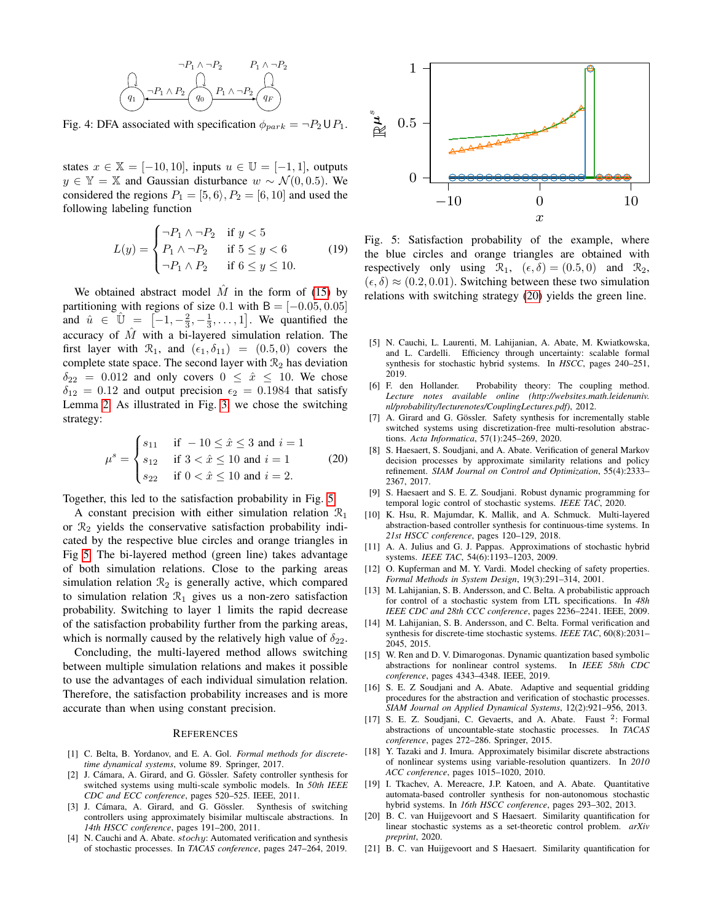<span id="page-5-0"></span>

Fig. 4: DFA associated with specification  $\phi_{park} = \neg P_2 \cup P_1$ .

states  $x \in \mathbb{X} = [-10, 10]$ , inputs  $u \in \mathbb{U} = [-1, 1]$ , outputs  $y \in \mathbb{Y} = \mathbb{X}$  and Gaussian disturbance  $w \sim \mathcal{N}(0, 0.5)$ . We considered the regions  $P_1 = \{5, 6\}, P_2 = \{6, 10\}$  and used the following labeling function

$$
L(y) = \begin{cases} \neg P_1 \land \neg P_2 & \text{if } y < 5\\ P_1 \land \neg P_2 & \text{if } 5 \le y < 6\\ \neg P_1 \land P_2 & \text{if } 6 \le y \le 10. \end{cases}
$$
 (19)

We obtained abstract model  $\tilde{M}$  in the form of [\(15\)](#page-4-3) by partitioning with regions of size 0.1 with  $B = [-0.05, 0.05]$ and  $\hat{u} \in \hat{U} = [-1, -\frac{2}{3}, -\frac{1}{3}, \dots, 1]$ . We quantified the accuracy of  $\tilde{M}$  with a bi-layered simulation relation. The first layer with  $\mathcal{R}_1$ , and  $(\epsilon_1, \delta_{11}) = (0.5, 0)$  covers the complete state space. The second layer with  $\mathcal{R}_2$  has deviation  $\delta_{22}$  = 0.012 and only covers  $0 \leq \hat{x} \leq 10$ . We chose  $\delta_{12} = 0.12$  and output precision  $\epsilon_2 = 0.1984$  that satisfy Lemma [2.](#page-4-7) As illustrated in Fig. [3,](#page-4-1) we chose the switching strategy:

<span id="page-5-2"></span>
$$
\mu^s = \begin{cases}\ns_{11} & \text{if } -10 \le \hat{x} \le 3 \text{ and } i = 1 \\
s_{12} & \text{if } 3 < \hat{x} \le 10 \text{ and } i = 1 \\
s_{22} & \text{if } 0 < \hat{x} \le 10 \text{ and } i = 2.\n\end{cases} \tag{20}
$$

Together, this led to the satisfaction probability in Fig. [5.](#page-5-1)

A constant precision with either simulation relation  $\mathcal{R}_1$ or  $\mathcal{R}_2$  yields the conservative satisfaction probability indicated by the respective blue circles and orange triangles in Fig [5.](#page-5-1) The bi-layered method (green line) takes advantage of both simulation relations. Close to the parking areas simulation relation  $\mathcal{R}_2$  is generally active, which compared to simulation relation  $\mathcal{R}_1$  gives us a non-zero satisfaction probability. Switching to layer 1 limits the rapid decrease of the satisfaction probability further from the parking areas, which is normally caused by the relatively high value of  $\delta_{22}$ .

Concluding, the multi-layered method allows switching between multiple simulation relations and makes it possible to use the advantages of each individual simulation relation. Therefore, the satisfaction probability increases and is more accurate than when using constant precision.

#### **REFERENCES**

- [1] C. Belta, B. Yordanov, and E. A. Gol. *Formal methods for discretetime dynamical systems*, volume 89. Springer, 2017.
- [2] J. Cámara, A. Girard, and G. Gössler. Safety controller synthesis for switched systems using multi-scale symbolic models. In *50th IEEE CDC and ECC conference*, pages 520–525. IEEE, 2011.
- [3] J. Cámara, A. Girard, and G. Gössler. Synthesis of switching controllers using approximately bisimilar multiscale abstractions. In *14th HSCC conference*, pages 191–200, 2011.
- [4] N. Cauchi and A. Abate. stochy: Automated verification and synthesis of stochastic processes. In *TACAS conference*, pages 247–264, 2019.

<span id="page-5-1"></span>

Fig. 5: Satisfaction probability of the example, where the blue circles and orange triangles are obtained with respectively only using  $\mathcal{R}_1$ ,  $(\epsilon, \delta) = (0.5, 0)$  and  $\mathcal{R}_2$ ,  $(\epsilon, \delta) \approx (0.2, 0.01)$ . Switching between these two simulation relations with switching strategy [\(20\)](#page-5-2) yields the green line.

- [5] N. Cauchi, L. Laurenti, M. Lahijanian, A. Abate, M. Kwiatkowska, and L. Cardelli. Efficiency through uncertainty: scalable formal synthesis for stochastic hybrid systems. In *HSCC*, pages 240–251, 2019.
- [6] F. den Hollander. Probability theory: The coupling method. *Lecture notes available online (http://websites.math.leidenuniv. nl/probability/lecturenotes/CouplingLectures.pdf)*, 2012.
- [7] A. Girard and G. Gössler. Safety synthesis for incrementally stable switched systems using discretization-free multi-resolution abstractions. *Acta Informatica*, 57(1):245–269, 2020.
- [8] S. Haesaert, S. Soudjani, and A. Abate. Verification of general Markov decision processes by approximate similarity relations and policy refinement. *SIAM Journal on Control and Optimization*, 55(4):2333– 2367, 2017.
- [9] S. Haesaert and S. E. Z. Soudjani. Robust dynamic programming for temporal logic control of stochastic systems. *IEEE TAC*, 2020.
- [10] K. Hsu, R. Majumdar, K. Mallik, and A. Schmuck. Multi-layered abstraction-based controller synthesis for continuous-time systems. In *21st HSCC conference*, pages 120–129, 2018.
- [11] A. A. Julius and G. J. Pappas. Approximations of stochastic hybrid systems. *IEEE TAC*, 54(6):1193–1203, 2009.
- [12] O. Kupferman and M. Y. Vardi. Model checking of safety properties. *Formal Methods in System Design*, 19(3):291–314, 2001.
- [13] M. Lahijanian, S. B. Andersson, and C. Belta. A probabilistic approach for control of a stochastic system from LTL specifications. In *48h IEEE CDC and 28th CCC conference*, pages 2236–2241. IEEE, 2009.
- [14] M. Lahijanian, S. B. Andersson, and C. Belta. Formal verification and synthesis for discrete-time stochastic systems. *IEEE TAC*, 60(8):2031– 2045, 2015.
- [15] W. Ren and D. V. Dimarogonas. Dynamic quantization based symbolic abstractions for nonlinear control systems. In *IEEE 58th CDC conference*, pages 4343–4348. IEEE, 2019.
- [16] S. E. Z Soudjani and A. Abate. Adaptive and sequential gridding procedures for the abstraction and verification of stochastic processes. *SIAM Journal on Applied Dynamical Systems*, 12(2):921–956, 2013.
- [17] S. E. Z. Soudjani, C. Gevaerts, and A. Abate. Faust <sup>2</sup>: Formal abstractions of uncountable-state stochastic processes. In *TACAS conference*, pages 272–286. Springer, 2015.
- [18] Y. Tazaki and J. Imura. Approximately bisimilar discrete abstractions of nonlinear systems using variable-resolution quantizers. In *2010 ACC conference*, pages 1015–1020, 2010.
- [19] I. Tkachev, A. Mereacre, J.P. Katoen, and A. Abate. Quantitative automata-based controller synthesis for non-autonomous stochastic hybrid systems. In *16th HSCC conference*, pages 293–302, 2013.
- [20] B. C. van Huijgevoort and S Haesaert. Similarity quantification for linear stochastic systems as a set-theoretic control problem. *arXiv preprint*, 2020.
- [21] B. C. van Huijgevoort and S Haesaert. Similarity quantification for